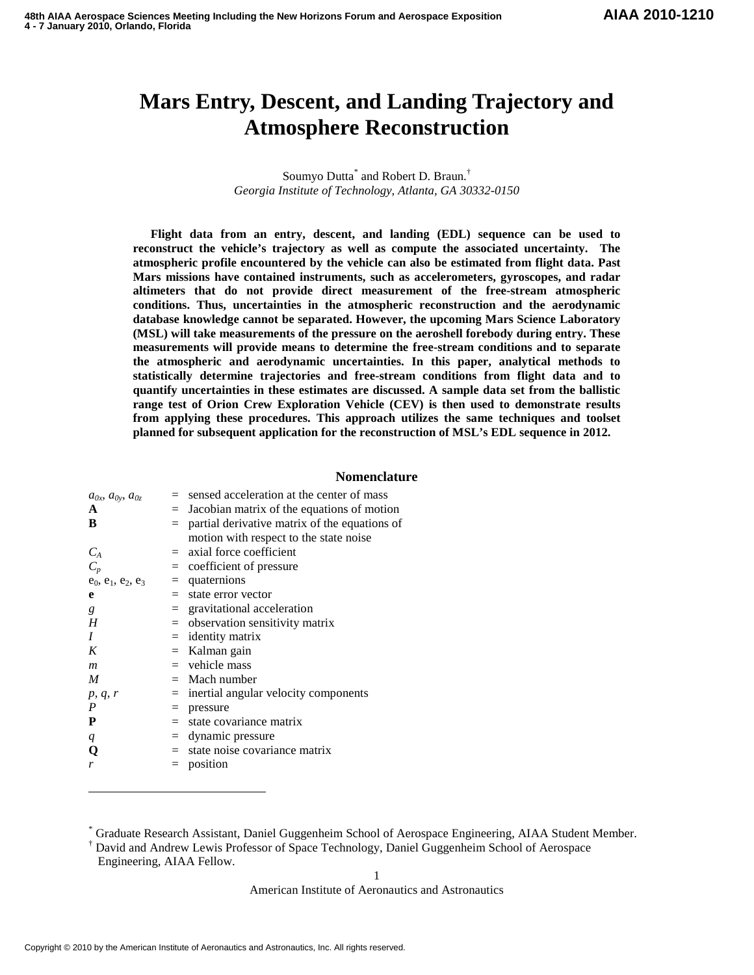# **Mars Entry, Descent, and Landing Trajectory and Atmosphere Reconstruction**

Soumyo Dutta\* and Robert D. Braun.† *Georgia Institute of Technology, Atlanta, GA 30332-0150* 

**Flight data from an entry, descent, and landing (EDL) sequence can be used to reconstruct the vehicle's trajectory as well as compute the associated uncertainty. The atmospheric profile encountered by the vehicle can also be estimated from flight data. Past Mars missions have contained instruments, such as accelerometers, gyroscopes, and radar altimeters that do not provide direct measurement of the free-stream atmospheric conditions. Thus, uncertainties in the atmospheric reconstruction and the aerodynamic database knowledge cannot be separated. However, the upcoming Mars Science Laboratory (MSL) will take measurements of the pressure on the aeroshell forebody during entry. These measurements will provide means to determine the free-stream conditions and to separate the atmospheric and aerodynamic uncertainties. In this paper, analytical methods to statistically determine trajectories and free-stream conditions from flight data and to quantify uncertainties in these estimates are discussed. A sample data set from the ballistic range test of Orion Crew Exploration Vehicle (CEV) is then used to demonstrate results from applying these procedures. This approach utilizes the same techniques and toolset planned for subsequent application for the reconstruction of MSL's EDL sequence in 2012.** 

## **Nomenclature**

| $a_{0x}, a_{0y}, a_{0z}$ |     | sensed acceleration at the center of mass     |
|--------------------------|-----|-----------------------------------------------|
| A                        |     | Jacobian matrix of the equations of motion    |
| B                        |     | partial derivative matrix of the equations of |
|                          |     | motion with respect to the state noise        |
| $C_A$                    |     | $=$ axial force coefficient                   |
| $C_p$                    |     | $=$ coefficient of pressure                   |
| $e_0, e_1, e_2, e_3$     | $=$ | quaternions                                   |
| e                        |     | state error vector                            |
| g                        |     | $=$ gravitational acceleration                |
| H                        |     | $=$ observation sensitivity matrix            |
| I                        |     | $=$ identity matrix                           |
| K                        |     | $=$ Kalman gain                               |
| m                        |     | $=$ vehicle mass                              |
| M                        |     | $=$ Mach number                               |
| p, q, r                  |     | inertial angular velocity components          |
| P                        | $=$ | pressure                                      |
| P                        |     | state covariance matrix                       |
| q                        |     | $=$ dynamic pressure                          |
|                          | $=$ | state noise covariance matrix                 |
| r                        |     | position                                      |
|                          |     |                                               |

1

American Institute of Aeronautics and Astronautics

1

<sup>\*</sup> Graduate Research Assistant, Daniel Guggenheim School of Aerospace Engineering, AIAA Student Member.

<sup>†</sup> David and Andrew Lewis Professor of Space Technology, Daniel Guggenheim School of Aerospace Engineering, AIAA Fellow.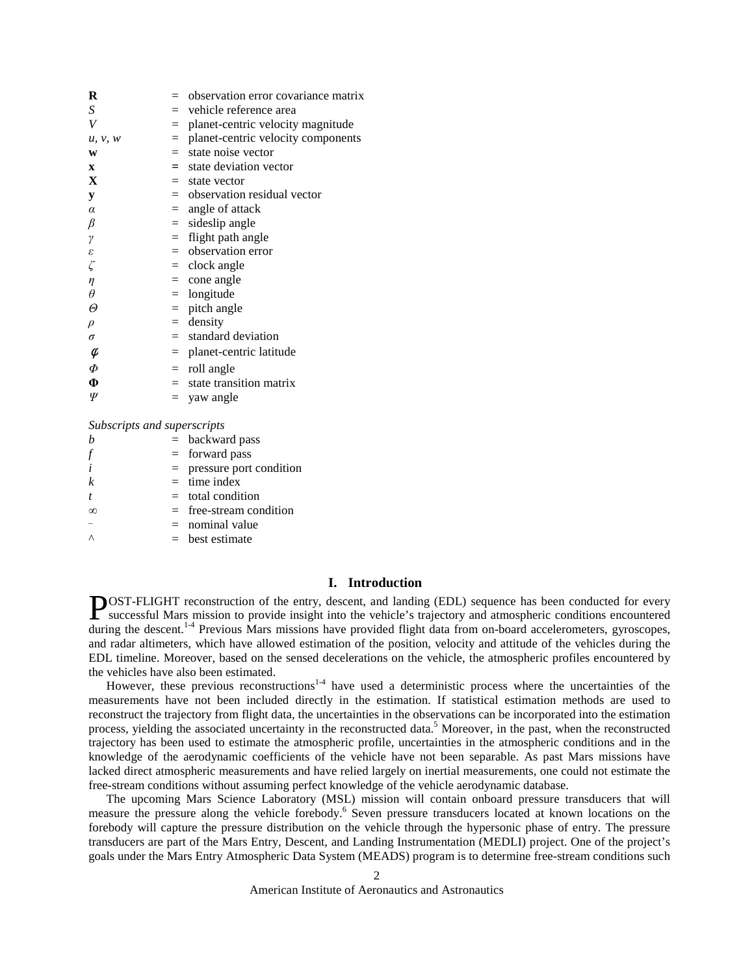|     | $=$ observation error covariance matrix |
|-----|-----------------------------------------|
|     | $=$ vehicle reference area              |
|     | $=$ planet-centric velocity magnitude   |
| $=$ | planet-centric velocity components      |
| $=$ | state noise vector                      |
|     | $=$ state deviation vector              |
|     | $=$ state vector                        |
|     | $=$ observation residual vector         |
|     | $=$ angle of attack                     |
| $=$ | sideslip angle                          |
|     | $=$ flight path angle                   |
|     | $=$ observation error                   |
|     | $=$ clock angle                         |
|     | $=$ cone angle                          |
|     | $=$ longitude                           |
|     | $=$ pitch angle                         |
|     | $=$ density                             |
|     | $=$ standard deviation                  |
|     | $=$ planet-centric latitude             |
|     | $=$ roll angle                          |
|     | $=$ state transition matrix             |
|     | $=$ yaw angle                           |
|     |                                         |
|     | Subscripts and superscripts             |
|     |                                         |

|              | $-$ backward pass           |
|--------------|-----------------------------|
| f            | $=$ forward pass            |
| $\dot{i}$    | $=$ pressure port condition |
| k            | $=$ time index              |
| $\mathbf{f}$ | $=$ total condition         |
| $\infty$     | $=$ free-stream condition   |
|              | $=$ nominal value           |
|              | $=$ best estimate           |

## **I. Introduction**

**POST-FLIGHT** reconstruction of the entry, descent, and landing (EDL) sequence has been conducted for every successful Mars mission to provide insight into the vehicle's trajectory and atmospheric conditions encountered successful Mars mission to provide insight into the vehicle's trajectory and atmospheric conditions encountered during the descent.<sup>1-4</sup> Previous Mars missions have provided flight data from on-board accelerometers, gyroscopes, and radar altimeters, which have allowed estimation of the position, velocity and attitude of the vehicles during the EDL timeline. Moreover, based on the sensed decelerations on the vehicle, the atmospheric profiles encountered by the vehicles have also been estimated.

However, these previous reconstructions<sup>1-4</sup> have used a deterministic process where the uncertainties of the measurements have not been included directly in the estimation. If statistical estimation methods are used to reconstruct the trajectory from flight data, the uncertainties in the observations can be incorporated into the estimation process, yielding the associated uncertainty in the reconstructed data.<sup>5</sup> Moreover, in the past, when the reconstructed trajectory has been used to estimate the atmospheric profile, uncertainties in the atmospheric conditions and in the knowledge of the aerodynamic coefficients of the vehicle have not been separable. As past Mars missions have lacked direct atmospheric measurements and have relied largely on inertial measurements, one could not estimate the free-stream conditions without assuming perfect knowledge of the vehicle aerodynamic database.

 The upcoming Mars Science Laboratory (MSL) mission will contain onboard pressure transducers that will measure the pressure along the vehicle forebody.<sup>6</sup> Seven pressure transducers located at known locations on the forebody will capture the pressure distribution on the vehicle through the hypersonic phase of entry. The pressure transducers are part of the Mars Entry, Descent, and Landing Instrumentation (MEDLI) project. One of the project's goals under the Mars Entry Atmospheric Data System (MEADS) program is to determine free-stream conditions such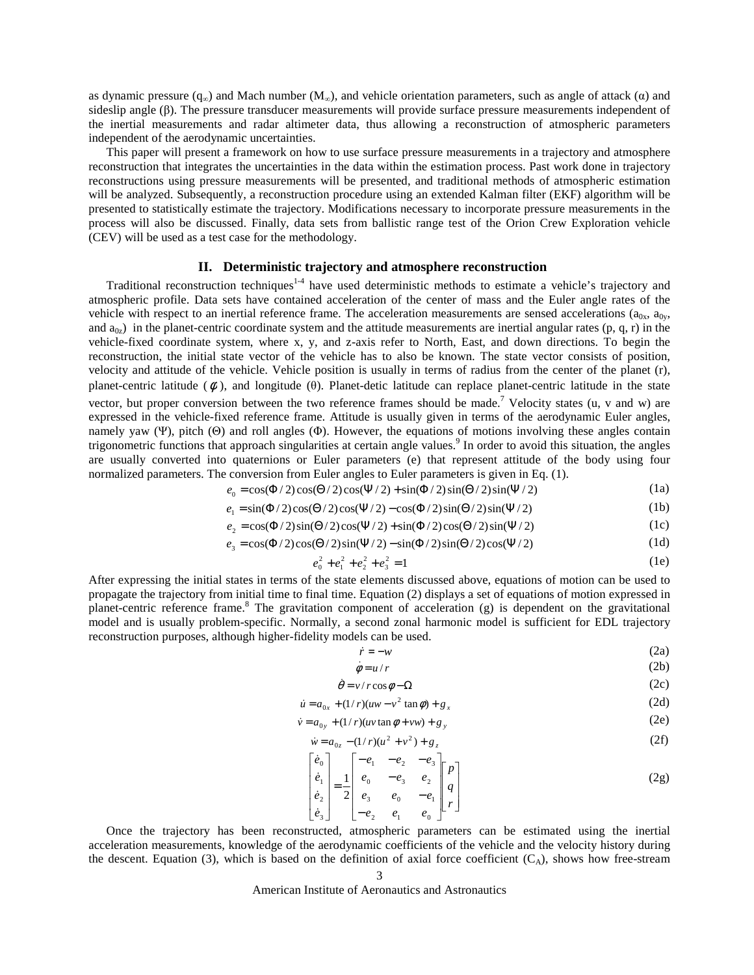as dynamic pressure  $(q<sub>∞</sub>)$  and Mach number  $(M<sub>∞</sub>)$ , and vehicle orientation parameters, such as angle of attack  $(α)$  and sideslip angle (β). The pressure transducer measurements will provide surface pressure measurements independent of the inertial measurements and radar altimeter data, thus allowing a reconstruction of atmospheric parameters independent of the aerodynamic uncertainties.

 This paper will present a framework on how to use surface pressure measurements in a trajectory and atmosphere reconstruction that integrates the uncertainties in the data within the estimation process. Past work done in trajectory reconstructions using pressure measurements will be presented, and traditional methods of atmospheric estimation will be analyzed. Subsequently, a reconstruction procedure using an extended Kalman filter (EKF) algorithm will be presented to statistically estimate the trajectory. Modifications necessary to incorporate pressure measurements in the process will also be discussed. Finally, data sets from ballistic range test of the Orion Crew Exploration vehicle (CEV) will be used as a test case for the methodology.

## **II. Deterministic trajectory and atmosphere reconstruction**

Traditional reconstruction techniques<sup>1-4</sup> have used deterministic methods to estimate a vehicle's trajectory and atmospheric profile. Data sets have contained acceleration of the center of mass and the Euler angle rates of the vehicle with respect to an inertial reference frame. The acceleration measurements are sensed accelerations ( $a_{0x}$ ,  $a_{0y}$ , and  $a_{0z}$ ) in the planet-centric coordinate system and the attitude measurements are inertial angular rates (p, q, r) in the vehicle-fixed coordinate system, where x, y, and z-axis refer to North, East, and down directions. To begin the reconstruction, the initial state vector of the vehicle has to also be known. The state vector consists of position, velocity and attitude of the vehicle. Vehicle position is usually in terms of radius from the center of the planet (r), planet-centric latitude ( $\phi$ ), and longitude (θ). Planet-detic latitude can replace planet-centric latitude in the state vector, but proper conversion between the two reference frames should be made.<sup>7</sup> Velocity states (u, v and w) are expressed in the vehicle-fixed reference frame. Attitude is usually given in terms of the aerodynamic Euler angles, namely yaw (Ψ), pitch (Θ) and roll angles (Φ). However, the equations of motions involving these angles contain trigonometric functions that approach singularities at certain angle values.<sup>9</sup> In order to avoid this situation, the angles are usually converted into quaternions or Euler parameters (e) that represent attitude of the body using four normalized parameters. The conversion from Euler angles to Euler parameters is given in Eq. (1).

$$
e_0 = \cos(\Phi/2)\cos(\Theta/2)\cos(\Psi/2) + \sin(\Phi/2)\sin(\Theta/2)\sin(\Psi/2)
$$
 (1a)

$$
e_1 = \sin(\Phi/2)\cos(\Theta/2)\cos(\Psi/2) - \cos(\Phi/2)\sin(\Theta/2)\sin(\Psi/2)
$$
 (1b)

$$
e_2 = \cos(\Phi/2)\sin(\Theta/2)\cos(\Psi/2) + \sin(\Phi/2)\cos(\Theta/2)\sin(\Psi/2)
$$
 (1c)

$$
e_3 = \cos(\Phi/2)\cos(\Theta/2)\sin(\Psi/2) - \sin(\Phi/2)\sin(\Theta/2)\cos(\Psi/2)
$$
 (1d)

$$
e_0^2 + e_1^2 + e_2^2 + e_3^2 = 1 \tag{1e}
$$

After expressing the initial states in terms of the state elements discussed above, equations of motion can be used to propagate the trajectory from initial time to final time. Equation (2) displays a set of equations of motion expressed in planet-centric reference frame.<sup>8</sup> The gravitation component of acceleration (g) is dependent on the gravitational model and is usually problem-specific. Normally, a second zonal harmonic model is sufficient for EDL trajectory reconstruction purposes, although higher-fidelity models can be used.

$$
\dot{r} = -w \tag{2a}
$$

$$
\dot{\phi} = u/r \tag{2b}
$$

$$
\dot{\theta} = v/r \cos \phi - \Omega \tag{2c}
$$

$$
\dot{u} = a_{0x} + (1/r)(uw - v^2 \tan \phi) + g_x
$$
 (2d)

$$
\dot{v} = a_{0y} + (1/r)(uv \tan \phi + vw) + g_y
$$
 (2e)

$$
\dot{w} = a_{0z} - (1/r)(u^2 + v^2) + g_z \tag{2f}
$$

$$
\begin{bmatrix} \dot{e}_0 \\ \dot{e}_1 \\ \dot{e}_2 \\ \dot{e}_3 \end{bmatrix} = \frac{1}{2} \begin{bmatrix} -e_1 & -e_2 & -e_3 \\ e_0 & -e_3 & e_2 \\ e_3 & e_0 & -e_1 \\ -e_2 & e_1 & e_0 \end{bmatrix} \begin{bmatrix} p \\ q \\ r \end{bmatrix}
$$
\n(2g)

 Once the trajectory has been reconstructed, atmospheric parameters can be estimated using the inertial acceleration measurements, knowledge of the aerodynamic coefficients of the vehicle and the velocity history during the descent. Equation (3), which is based on the definition of axial force coefficient  $(C_A)$ , shows how free-stream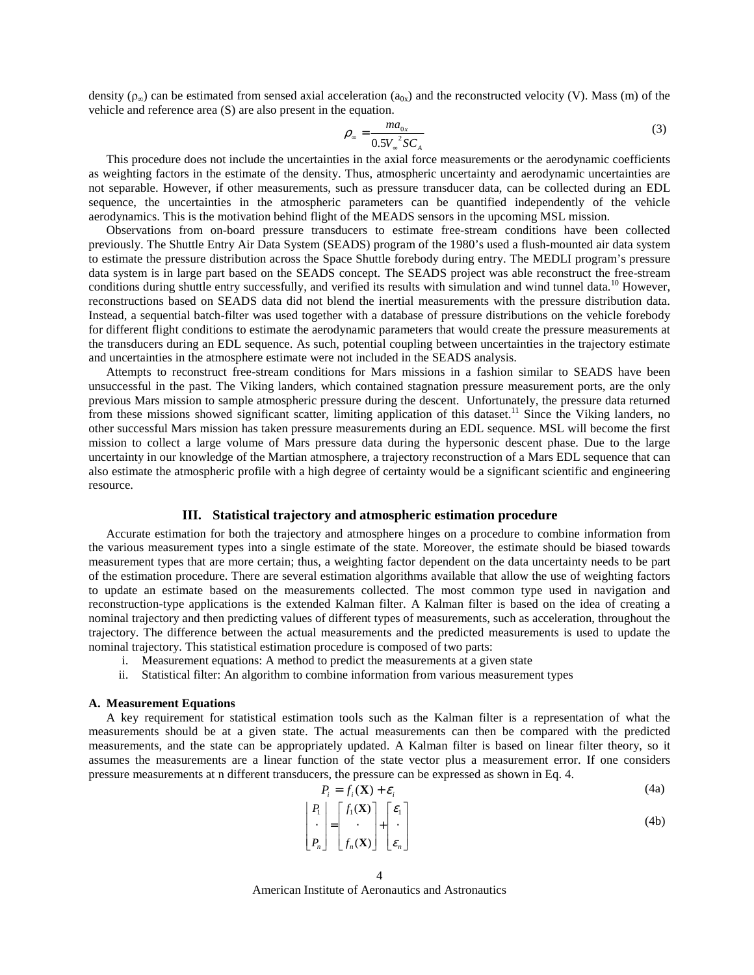density ( $\rho_{\infty}$ ) can be estimated from sensed axial acceleration ( $a_{0x}$ ) and the reconstructed velocity (V). Mass (m) of the vehicle and reference area (S) are also present in the equation.

$$
\rho_{\infty} = \frac{ma_{0x}}{0.5V_{\infty}^2 SC_A}
$$
\n(3)

 This procedure does not include the uncertainties in the axial force measurements or the aerodynamic coefficients as weighting factors in the estimate of the density. Thus, atmospheric uncertainty and aerodynamic uncertainties are not separable. However, if other measurements, such as pressure transducer data, can be collected during an EDL sequence, the uncertainties in the atmospheric parameters can be quantified independently of the vehicle aerodynamics. This is the motivation behind flight of the MEADS sensors in the upcoming MSL mission.

 Observations from on-board pressure transducers to estimate free-stream conditions have been collected previously. The Shuttle Entry Air Data System (SEADS) program of the 1980's used a flush-mounted air data system to estimate the pressure distribution across the Space Shuttle forebody during entry. The MEDLI program's pressure data system is in large part based on the SEADS concept. The SEADS project was able reconstruct the free-stream conditions during shuttle entry successfully, and verified its results with simulation and wind tunnel data.<sup>10</sup> However, reconstructions based on SEADS data did not blend the inertial measurements with the pressure distribution data. Instead, a sequential batch-filter was used together with a database of pressure distributions on the vehicle forebody for different flight conditions to estimate the aerodynamic parameters that would create the pressure measurements at the transducers during an EDL sequence. As such, potential coupling between uncertainties in the trajectory estimate and uncertainties in the atmosphere estimate were not included in the SEADS analysis.

 Attempts to reconstruct free-stream conditions for Mars missions in a fashion similar to SEADS have been unsuccessful in the past. The Viking landers, which contained stagnation pressure measurement ports, are the only previous Mars mission to sample atmospheric pressure during the descent. Unfortunately, the pressure data returned from these missions showed significant scatter, limiting application of this dataset.<sup>11</sup> Since the Viking landers, no other successful Mars mission has taken pressure measurements during an EDL sequence. MSL will become the first mission to collect a large volume of Mars pressure data during the hypersonic descent phase. Due to the large uncertainty in our knowledge of the Martian atmosphere, a trajectory reconstruction of a Mars EDL sequence that can also estimate the atmospheric profile with a high degree of certainty would be a significant scientific and engineering resource.

## **III. Statistical trajectory and atmospheric estimation procedure**

Accurate estimation for both the trajectory and atmosphere hinges on a procedure to combine information from the various measurement types into a single estimate of the state. Moreover, the estimate should be biased towards measurement types that are more certain; thus, a weighting factor dependent on the data uncertainty needs to be part of the estimation procedure. There are several estimation algorithms available that allow the use of weighting factors to update an estimate based on the measurements collected. The most common type used in navigation and reconstruction-type applications is the extended Kalman filter. A Kalman filter is based on the idea of creating a nominal trajectory and then predicting values of different types of measurements, such as acceleration, throughout the trajectory. The difference between the actual measurements and the predicted measurements is used to update the nominal trajectory. This statistical estimation procedure is composed of two parts:

- i. Measurement equations: A method to predict the measurements at a given state
- ii. Statistical filter: An algorithm to combine information from various measurement types

### **A. Measurement Equations**

A key requirement for statistical estimation tools such as the Kalman filter is a representation of what the measurements should be at a given state. The actual measurements can then be compared with the predicted measurements, and the state can be appropriately updated. A Kalman filter is based on linear filter theory, so it assumes the measurements are a linear function of the state vector plus a measurement error. If one considers pressure measurements at n different transducers, the pressure can be expressed as shown in Eq. 4.

$$
P_i = f_i(\mathbf{X}) + \varepsilon_i \tag{4a}
$$

$$
\begin{bmatrix} P_1 \\ \cdot \\ P_n \end{bmatrix} = \begin{bmatrix} f_1(\mathbf{X}) \\ \cdot \\ f_n(\mathbf{X}) \end{bmatrix} + \begin{bmatrix} \varepsilon_1 \\ \cdot \\ \varepsilon_n \end{bmatrix}
$$
 (4b)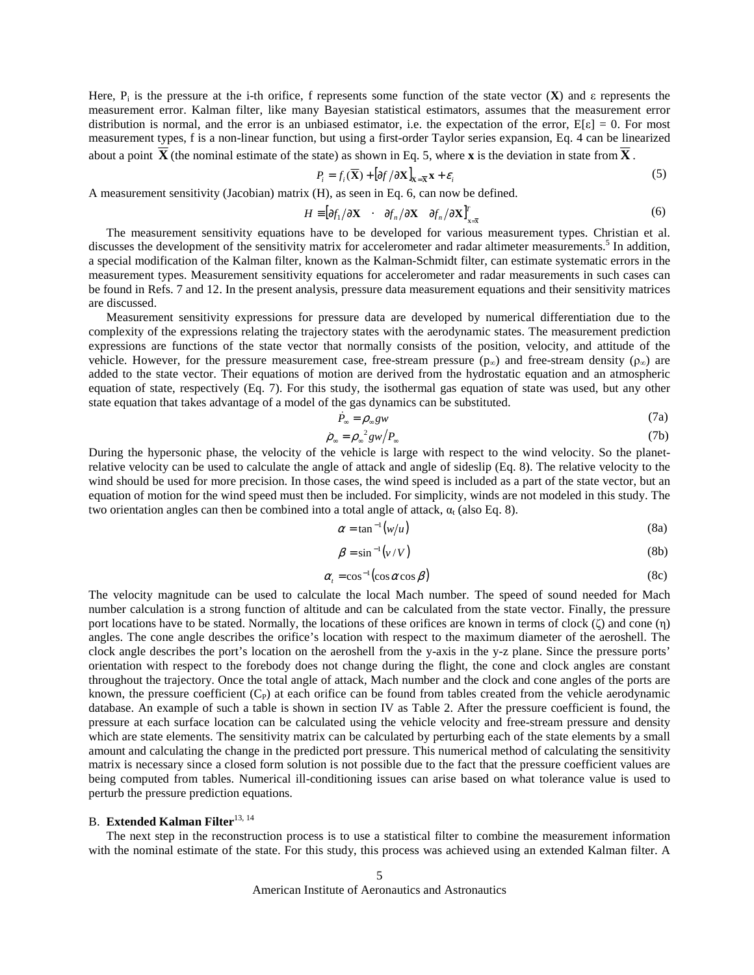Here,  $P_i$  is the pressure at the i-th orifice, f represents some function of the state vector  $(X)$  and  $\varepsilon$  represents the measurement error. Kalman filter, like many Bayesian statistical estimators, assumes that the measurement error distribution is normal, and the error is an unbiased estimator, i.e. the expectation of the error,  $E[\epsilon] = 0$ . For most measurement types, f is a non-linear function, but using a first-order Taylor series expansion, Eq. 4 can be linearized about a point  $\overline{\mathbf{X}}$  (the nominal estimate of the state) as shown in Eq. 5, where **x** is the deviation in state from  $\overline{\mathbf{X}}$ .

$$
P_i = f_i(\overline{\mathbf{X}}) + [\partial f / \partial \mathbf{X}]_{\mathbf{X} = \overline{\mathbf{X}}} \mathbf{x} + \varepsilon_i
$$
 (5)

A measurement sensitivity (Jacobian) matrix (H), as seen in Eq. 6, can now be defined.

$$
H \equiv \left[\partial f_1 / \partial \mathbf{X} \cdot \partial f_n / \partial \mathbf{X} \cdot \partial f_n / \partial \mathbf{X}\right]_{\mathbf{x} = \overline{\mathbf{x}}} \tag{6}
$$

 The measurement sensitivity equations have to be developed for various measurement types. Christian et al. discusses the development of the sensitivity matrix for accelerometer and radar altimeter measurements.<sup>5</sup> In addition, a special modification of the Kalman filter, known as the Kalman-Schmidt filter, can estimate systematic errors in the measurement types. Measurement sensitivity equations for accelerometer and radar measurements in such cases can be found in Refs. 7 and 12. In the present analysis, pressure data measurement equations and their sensitivity matrices are discussed.

 Measurement sensitivity expressions for pressure data are developed by numerical differentiation due to the complexity of the expressions relating the trajectory states with the aerodynamic states. The measurement prediction expressions are functions of the state vector that normally consists of the position, velocity, and attitude of the vehicle. However, for the pressure measurement case, free-stream pressure  $(p_{\infty})$  and free-stream density  $(p_{\infty})$  are added to the state vector. Their equations of motion are derived from the hydrostatic equation and an atmospheric equation of state, respectively (Eq. 7). For this study, the isothermal gas equation of state was used, but any other state equation that takes advantage of a model of the gas dynamics can be substituted.  $\dot{P}_e$ 

$$
\dot{P}_{\infty} = \rho_{\infty} g w \tag{7a}
$$

$$
\dot{\rho}_{\infty} = \rho_{\infty}^2 g w / P_{\infty} \tag{7b}
$$

During the hypersonic phase, the velocity of the vehicle is large with respect to the wind velocity. So the planetrelative velocity can be used to calculate the angle of attack and angle of sideslip (Eq. 8). The relative velocity to the wind should be used for more precision. In those cases, the wind speed is included as a part of the state vector, but an equation of motion for the wind speed must then be included. For simplicity, winds are not modeled in this study. The two orientation angles can then be combined into a total angle of attack,  $\alpha_t$  (also Eq. 8).

$$
\alpha = \tan^{-1}(w/u) \tag{8a}
$$

$$
\beta = \sin^{-1}(v/V) \tag{8b}
$$

$$
\alpha_t = \cos^{-1}(\cos \alpha \cos \beta) \tag{8c}
$$

The velocity magnitude can be used to calculate the local Mach number. The speed of sound needed for Mach number calculation is a strong function of altitude and can be calculated from the state vector. Finally, the pressure port locations have to be stated. Normally, the locations of these orifices are known in terms of clock (ζ) and cone (η) angles. The cone angle describes the orifice's location with respect to the maximum diameter of the aeroshell. The clock angle describes the port's location on the aeroshell from the y-axis in the y-z plane. Since the pressure ports' orientation with respect to the forebody does not change during the flight, the cone and clock angles are constant throughout the trajectory. Once the total angle of attack, Mach number and the clock and cone angles of the ports are known, the pressure coefficient  $(C_P)$  at each orifice can be found from tables created from the vehicle aerodynamic database. An example of such a table is shown in section IV as Table 2. After the pressure coefficient is found, the pressure at each surface location can be calculated using the vehicle velocity and free-stream pressure and density which are state elements. The sensitivity matrix can be calculated by perturbing each of the state elements by a small amount and calculating the change in the predicted port pressure. This numerical method of calculating the sensitivity matrix is necessary since a closed form solution is not possible due to the fact that the pressure coefficient values are being computed from tables. Numerical ill-conditioning issues can arise based on what tolerance value is used to perturb the pressure prediction equations.

# B. **Extended Kalman Filter**13, 14

The next step in the reconstruction process is to use a statistical filter to combine the measurement information with the nominal estimate of the state. For this study, this process was achieved using an extended Kalman filter. A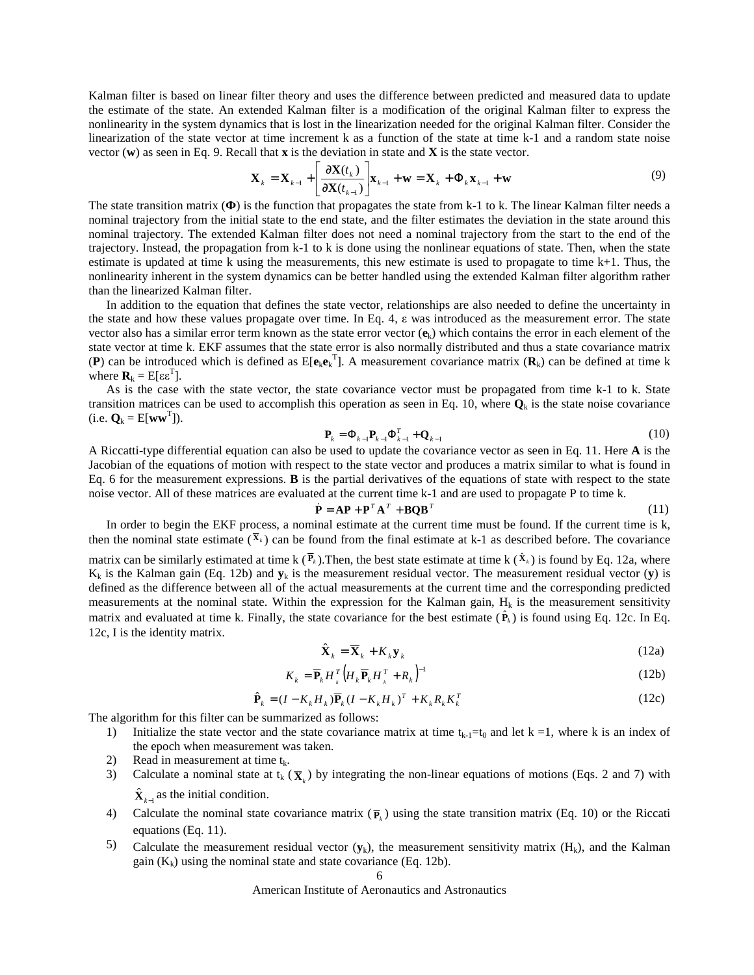Kalman filter is based on linear filter theory and uses the difference between predicted and measured data to update the estimate of the state. An extended Kalman filter is a modification of the original Kalman filter to express the nonlinearity in the system dynamics that is lost in the linearization needed for the original Kalman filter. Consider the linearization of the state vector at time increment k as a function of the state at time k-1 and a random state noise vector (**w**) as seen in Eq. 9. Recall that **x** is the deviation in state and **X** is the state vector.

$$
\mathbf{X}_{k} = \mathbf{X}_{k-1} + \left[\frac{\partial \mathbf{X}(t_{k})}{\partial \mathbf{X}(t_{k-1})}\right] \mathbf{x}_{k-1} + \mathbf{w} = \mathbf{X}_{k} + \Phi_{k} \mathbf{x}_{k-1} + \mathbf{w}
$$
\n(9)

The state transition matrix  $(\Phi)$  is the function that propagates the state from k-1 to k. The linear Kalman filter needs a nominal trajectory from the initial state to the end state, and the filter estimates the deviation in the state around this nominal trajectory. The extended Kalman filter does not need a nominal trajectory from the start to the end of the trajectory. Instead, the propagation from k-1 to k is done using the nonlinear equations of state. Then, when the state estimate is updated at time k using the measurements, this new estimate is used to propagate to time  $k+1$ . Thus, the nonlinearity inherent in the system dynamics can be better handled using the extended Kalman filter algorithm rather than the linearized Kalman filter.

In addition to the equation that defines the state vector, relationships are also needed to define the uncertainty in the state and how these values propagate over time. In Eq. 4, ε was introduced as the measurement error. The state vector also has a similar error term known as the state error vector  $(e_k)$  which contains the error in each element of the state vector at time k. EKF assumes that the state error is also normally distributed and thus a state covariance matrix (**P**) can be introduced which is defined as  $E[e_k e_k^T]$ . A measurement covariance matrix  $(\mathbf{R}_k)$  can be defined at time k where  $\mathbf{R}_k = E[\epsilon \epsilon^T]$ .

As is the case with the state vector, the state covariance vector must be propagated from time k-1 to k. State transition matrices can be used to accomplish this operation as seen in Eq. 10, where  $\mathbf{Q}_k$  is the state noise covariance  $(i.e. Q_k = E[ww^T]).$ 

$$
\mathbf{P}_{k} = \Phi_{k-1} \mathbf{P}_{k-1} \Phi_{k-1}^{T} + \mathbf{Q}_{k-1}
$$
 (10)

 A Riccatti-type differential equation can also be used to update the covariance vector as seen in Eq. 11. Here **A** is the Jacobian of the equations of motion with respect to the state vector and produces a matrix similar to what is found in Eq. 6 for the measurement expressions. **B** is the partial derivatives of the equations of state with respect to the state noise vector. All of these matrices are evaluated at the current time k-1 and are used to propagate P to time k.

$$
\dot{\mathbf{P}} = \mathbf{A}\mathbf{P} + \mathbf{P}^T \mathbf{A}^T + \mathbf{B} \mathbf{Q} \mathbf{B}^T
$$
 (11)

In order to begin the EKF process, a nominal estimate at the current time must be found. If the current time is k, then the nominal state estimate  $(X_k)$  can be found from the final estimate at  $k-1$  as described before. The covariance matrix can be similarly estimated at time  $k$  ( $\overline{P}_k$ ). Then, the best state estimate at time  $k$  ( $\hat{X}_k$ ) is found by Eq. 12a, where  $K_k$  is the Kalman gain (Eq. 12b) and  $y_k$  is the measurement residual vector. The measurement residual vector (**y**) is defined as the difference between all of the actual measurements at the current time and the corresponding predicted measurements at the nominal state. Within the expression for the Kalman gain,  $H_k$  is the measurement sensitivity matrix and evaluated at time k. Finally, the state covariance for the best estimate  $(\hat{P}_k)$  is found using Eq. 12c. In Eq. 12c, I is the identity matrix.

$$
\hat{\mathbf{X}}_k = \overline{\mathbf{X}}_k + K_k \mathbf{y}_k \tag{12a}
$$

$$
K_k = \overline{\mathbf{P}}_k H_k^T \left( H_k \overline{\mathbf{P}}_k H_k^T + R_k \right)^{-1} \tag{12b}
$$

$$
\hat{\mathbf{P}}_k = (I - K_k H_k) \overline{\mathbf{P}}_k (I - K_k H_k)^T + K_k R_k K_k^T
$$
\n(12c)

The algorithm for this filter can be summarized as follows:

- 1) Initialize the state vector and the state covariance matrix at time  $t_{k-1}=t_0$  and let  $k=1$ , where k is an index of the epoch when measurement was taken.
- 2) Read in measurement at time  $t_k$ .
- 3) Calculate a nominal state at  $t_k$  ( $\overline{\mathbf{X}}_k$ ) by integrating the non-linear equations of motions (Eqs. 2 and 7) with  $\hat{\mathbf{X}}_{k-1}$  as the initial condition.
- 4) Calculate the nominal state covariance matrix  $(\bar{\mathbf{p}}_k)$  using the state transition matrix (Eq. 10) or the Riccati equations (Eq. 11).
- 5) Calculate the measurement residual vector  $(y_k)$ , the measurement sensitivity matrix  $(H_k)$ , and the Kalman gain  $(K_k)$  using the nominal state and state covariance (Eq. 12b).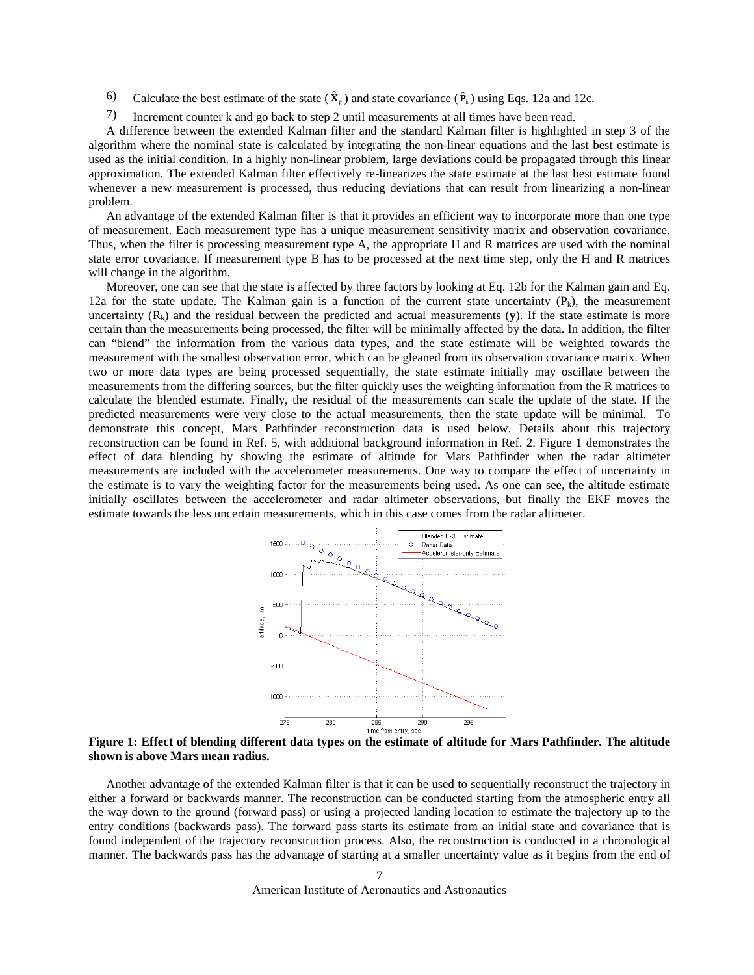- 6) Calculate the best estimate of the state  $(\hat{\mathbf{X}}_k)$  and state covariance  $(\hat{\mathbf{P}}_k)$  using Eqs. 12a and 12c.
- 7) Increment counter k and go back to step 2 until measurements at all times have been read.

A difference between the extended Kalman filter and the standard Kalman filter is highlighted in step 3 of the algorithm where the nominal state is calculated by integrating the non-linear equations and the last best estimate is used as the initial condition. In a highly non-linear problem, large deviations could be propagated through this linear approximation. The extended Kalman filter effectively re-linearizes the state estimate at the last best estimate found whenever a new measurement is processed, thus reducing deviations that can result from linearizing a non-linear problem.

An advantage of the extended Kalman filter is that it provides an efficient way to incorporate more than one type of measurement. Each measurement type has a unique measurement sensitivity matrix and observation covariance. Thus, when the filter is processing measurement type A, the appropriate H and R matrices are used with the nominal state error covariance. If measurement type B has to be processed at the next time step, only the H and R matrices will change in the algorithm.

Moreover, one can see that the state is affected by three factors by looking at Eq. 12b for the Kalman gain and Eq. 12a for the state update. The Kalman gain is a function of the current state uncertainty  $(P_k)$ , the measurement uncertainty  $(R_k)$  and the residual between the predicted and actual measurements  $(y)$ . If the state estimate is more certain than the measurements being processed, the filter will be minimally affected by the data. In addition, the filter can "blend" the information from the various data types, and the state estimate will be weighted towards the measurement with the smallest observation error, which can be gleaned from its observation covariance matrix. When two or more data types are being processed sequentially, the state estimate initially may oscillate between the measurements from the differing sources, but the filter quickly uses the weighting information from the R matrices to calculate the blended estimate. Finally, the residual of the measurements can scale the update of the state. If the predicted measurements were very close to the actual measurements, then the state update will be minimal. To demonstrate this concept, Mars Pathfinder reconstruction data is used below. Details about this trajectory reconstruction can be found in Ref. 5, with additional background information in Ref. 2. Figure 1 demonstrates the effect of data blending by showing the estimate of altitude for Mars Pathfinder when the radar altimeter measurements are included with the accelerometer measurements. One way to compare the effect of uncertainty in the estimate is to vary the weighting factor for the measurements being used. As one can see, the altitude estimate initially oscillates between the accelerometer and radar altimeter observations, but finally the EKF moves the estimate towards the less uncertain measurements, which in this case comes from the radar altimeter.



**Figure 1: Effect of blending different data types on the estimate of altitude for Mars Pathfinder. The altitude shown is above Mars mean radius.** 

Another advantage of the extended Kalman filter is that it can be used to sequentially reconstruct the trajectory in either a forward or backwards manner. The reconstruction can be conducted starting from the atmospheric entry all the way down to the ground (forward pass) or using a projected landing location to estimate the trajectory up to the entry conditions (backwards pass). The forward pass starts its estimate from an initial state and covariance that is found independent of the trajectory reconstruction process. Also, the reconstruction is conducted in a chronological manner. The backwards pass has the advantage of starting at a smaller uncertainty value as it begins from the end of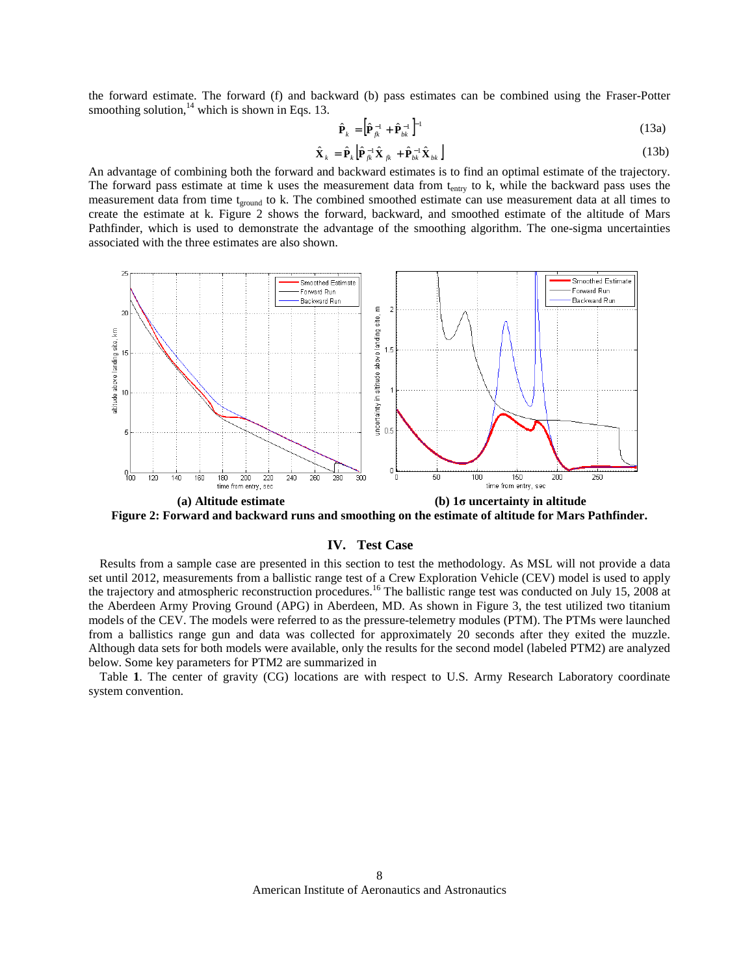the forward estimate. The forward (f) and backward (b) pass estimates can be combined using the Fraser-Potter smoothing solution, <sup>14</sup> which is shown in Eqs. 13.

$$
\hat{\mathbf{P}}_k = \left[\hat{\mathbf{P}}_{jk}^{-1} + \hat{\mathbf{P}}_{bk}^{-1}\right]^{-1} \tag{13a}
$$

$$
\hat{\mathbf{X}}_k = \hat{\mathbf{P}}_k \left[ \hat{\mathbf{P}}_{jk}^{-1} \hat{\mathbf{X}}_{jk} + \hat{\mathbf{P}}_{bk}^{-1} \hat{\mathbf{X}}_{bk} \right]
$$
(13b)

An advantage of combining both the forward and backward estimates is to find an optimal estimate of the trajectory. The forward pass estimate at time k uses the measurement data from  $t_{\text{entry}}$  to k, while the backward pass uses the measurement data from time tground to k. The combined smoothed estimate can use measurement data at all times to create the estimate at k. Figure 2 shows the forward, backward, and smoothed estimate of the altitude of Mars Pathfinder, which is used to demonstrate the advantage of the smoothing algorithm. The one-sigma uncertainties associated with the three estimates are also shown.



**Figure 2: Forward and backward runs and smoothing on the estimate of altitude for Mars Pathfinder.**

## **IV. Test Case**

Results from a sample case are presented in this section to test the methodology. As MSL will not provide a data set until 2012, measurements from a ballistic range test of a Crew Exploration Vehicle (CEV) model is used to apply the trajectory and atmospheric reconstruction procedures.<sup>16</sup> The ballistic range test was conducted on July 15, 2008 at the Aberdeen Army Proving Ground (APG) in Aberdeen, MD. As shown in Figure 3, the test utilized two titanium models of the CEV. The models were referred to as the pressure-telemetry modules (PTM). The PTMs were launched from a ballistics range gun and data was collected for approximately 20 seconds after they exited the muzzle. Although data sets for both models were available, only the results for the second model (labeled PTM2) are analyzed below. Some key parameters for PTM2 are summarized in

Table **1**. The center of gravity (CG) locations are with respect to U.S. Army Research Laboratory coordinate system convention.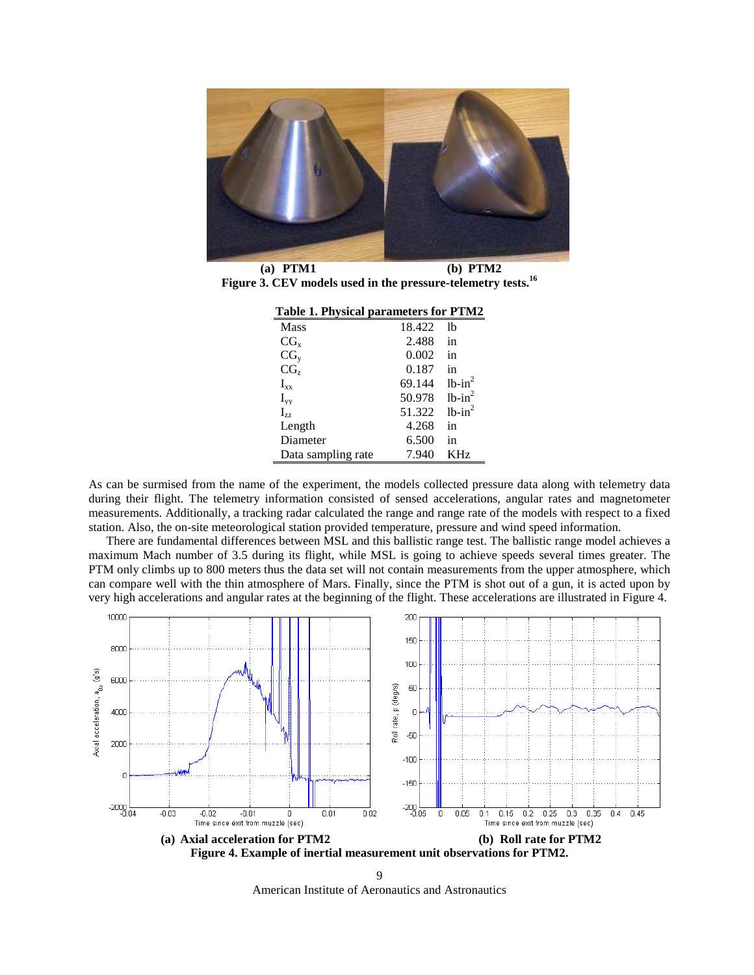

**(a) PTM1 (b) PTM2 Figure 3. CEV models used in the pressure-telemetry tests.<sup>16</sup>**

| Table 1. Physical parameters for PTM2 |        |                       |  |  |  |
|---------------------------------------|--------|-----------------------|--|--|--|
| <b>Mass</b>                           | 18.422 | 1b                    |  |  |  |
| $CG_{x}$                              | 2.488  | in                    |  |  |  |
| $CG_{v}$                              | 0.002  | in                    |  |  |  |
| CG <sub>z</sub>                       | 0.187  | in                    |  |  |  |
| $I_{xx}$                              | 69.144 | $1b$ -in <sup>2</sup> |  |  |  |
| $I_{vv}$                              | 50.978 | $1b$ -in <sup>2</sup> |  |  |  |
| $I_{zz}$                              | 51.322 | $1b$ -in <sup>2</sup> |  |  |  |
| Length                                | 4.268  | in                    |  |  |  |
| Diameter                              | 6.500  | in                    |  |  |  |
| Data sampling rate                    | 7.940  | KHz                   |  |  |  |

As can be surmised from the name of the experiment, the models collected pressure data along with telemetry data during their flight. The telemetry information consisted of sensed accelerations, angular rates and magnetometer measurements. Additionally, a tracking radar calculated the range and range rate of the models with respect to a fixed station. Also, the on-site meteorological station provided temperature, pressure and wind speed information.

 There are fundamental differences between MSL and this ballistic range test. The ballistic range model achieves a maximum Mach number of 3.5 during its flight, while MSL is going to achieve speeds several times greater. The PTM only climbs up to 800 meters thus the data set will not contain measurements from the upper atmosphere, which can compare well with the thin atmosphere of Mars. Finally, since the PTM is shot out of a gun, it is acted upon by very high accelerations and angular rates at the beginning of the flight. These accelerations are illustrated in Figure 4.



9

American Institute of Aeronautics and Astronautics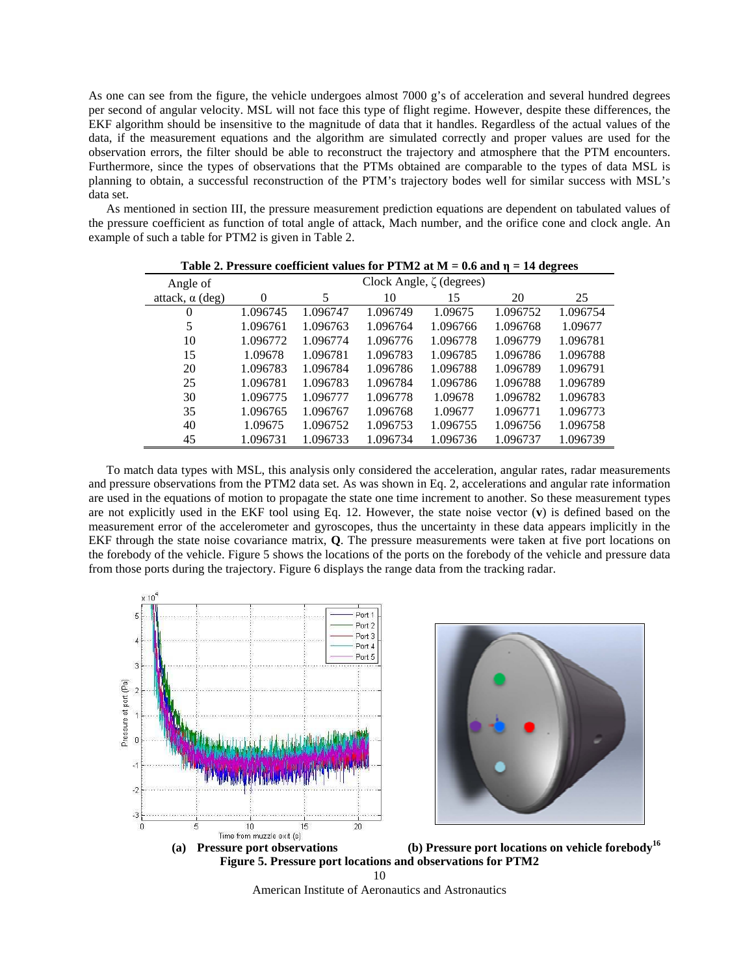As one can see from the figure, the vehicle undergoes almost 7000 g's of acceleration and several hundred degrees per second of angular velocity. MSL will not face this type of flight regime. However, despite these differences, the EKF algorithm should be insensitive to the magnitude of data that it handles. Regardless of the actual values of the data, if the measurement equations and the algorithm are simulated correctly and proper values are used for the observation errors, the filter should be able to reconstruct the trajectory and atmosphere that the PTM encounters. Furthermore, since the types of observations that the PTMs obtained are comparable to the types of data MSL is planning to obtain, a successful reconstruction of the PTM's trajectory bodes well for similar success with MSL's data set.

 As mentioned in section III, the pressure measurement prediction equations are dependent on tabulated values of the pressure coefficient as function of total angle of attack, Mach number, and the orifice cone and clock angle. An example of such a table for PTM2 is given in Table 2.

| Table 2. Pressure coefficient values for PTM2 at $M = 0.6$ and $\eta = 14$ degrees |          |                                |          |          |          |          |
|------------------------------------------------------------------------------------|----------|--------------------------------|----------|----------|----------|----------|
| Angle of                                                                           |          | Clock Angle, $\zeta$ (degrees) |          |          |          |          |
| attack, $\alpha$ (deg)                                                             | $\theta$ | 5                              | 10       | 15       | 20       | 25       |
| 0                                                                                  | 1.096745 | 1.096747                       | 1.096749 | 1.09675  | 1.096752 | 1.096754 |
| 5                                                                                  | 1.096761 | 1.096763                       | 1.096764 | 1.096766 | 1.096768 | 1.09677  |
| 10                                                                                 | 1.096772 | 1.096774                       | 1.096776 | 1.096778 | 1.096779 | 1.096781 |
| 15                                                                                 | 1.09678  | 1.096781                       | 1.096783 | 1.096785 | 1.096786 | 1.096788 |
| 20                                                                                 | 1.096783 | 1.096784                       | 1.096786 | 1.096788 | 1.096789 | 1.096791 |
| 25                                                                                 | 1.096781 | 1.096783                       | 1.096784 | 1.096786 | 1.096788 | 1.096789 |
| 30                                                                                 | 1.096775 | 1.096777                       | 1.096778 | 1.09678  | 1.096782 | 1.096783 |
| 35                                                                                 | 1.096765 | 1.096767                       | 1.096768 | 1.09677  | 1.096771 | 1.096773 |
| 40                                                                                 | 1.09675  | 1.096752                       | 1.096753 | 1.096755 | 1.096756 | 1.096758 |
| 45                                                                                 | 1.096731 | 1.096733                       | 1.096734 | 1.096736 | 1.096737 | 1.096739 |

To match data types with MSL, this analysis only considered the acceleration, angular rates, radar measurements and pressure observations from the PTM2 data set. As was shown in Eq. 2, accelerations and angular rate information are used in the equations of motion to propagate the state one time increment to another. So these measurement types are not explicitly used in the EKF tool using Eq. 12. However, the state noise vector (**v**) is defined based on the measurement error of the accelerometer and gyroscopes, thus the uncertainty in these data appears implicitly in the EKF through the state noise covariance matrix, **Q**. The pressure measurements were taken at five port locations on the forebody of the vehicle. Figure 5 shows the locations of the ports on the forebody of the vehicle and pressure data from those ports during the trajectory. Figure 6 displays the range data from the tracking radar.





**(a) Pressure port observations (b) Pressure port locations on vehicle forebody<sup>16</sup> Figure 5. Pressure port locations and observations for PTM2** 

10

American Institute of Aeronautics and Astronautics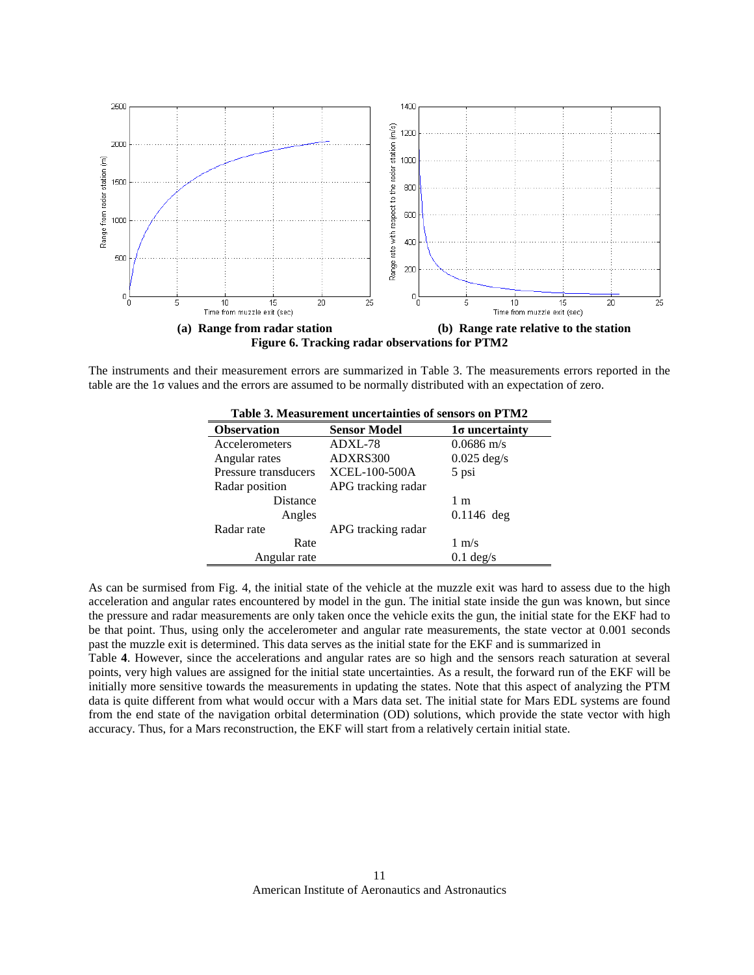

The instruments and their measurement errors are summarized in Table 3. The measurements errors reported in the table are the 1σ values and the errors are assumed to be normally distributed with an expectation of zero.

| Table 5. Measurement uncertainties of sensors on PTM2 |                      |                       |  |  |
|-------------------------------------------------------|----------------------|-----------------------|--|--|
| <b>Observation</b>                                    | <b>Sensor Model</b>  | $1\sigma$ uncertainty |  |  |
| Accelerometers                                        | ADXL-78              | $0.0686$ m/s          |  |  |
| Angular rates                                         | ADXRS300             | $0.025 \text{ deg/s}$ |  |  |
| Pressure transducers                                  | <b>XCEL-100-500A</b> | 5 psi                 |  |  |
| Radar position                                        | APG tracking radar   |                       |  |  |
| Distance                                              |                      | 1 <sub>m</sub>        |  |  |
| Angles                                                |                      | $0.1146$ deg          |  |  |
| Radar rate                                            | APG tracking radar   |                       |  |  |
| Rate                                                  |                      | $1 \text{ m/s}$       |  |  |
| Angular rate                                          |                      | $0.1 \text{ deg/s}$   |  |  |

| Table 3. Measurement uncertainties of sensors on PTM2 |  |  |  |
|-------------------------------------------------------|--|--|--|
|-------------------------------------------------------|--|--|--|

As can be surmised from Fig. 4, the initial state of the vehicle at the muzzle exit was hard to assess due to the high acceleration and angular rates encountered by model in the gun. The initial state inside the gun was known, but since the pressure and radar measurements are only taken once the vehicle exits the gun, the initial state for the EKF had to be that point. Thus, using only the accelerometer and angular rate measurements, the state vector at 0.001 seconds past the muzzle exit is determined. This data serves as the initial state for the EKF and is summarized in

Table **4**. However, since the accelerations and angular rates are so high and the sensors reach saturation at several points, very high values are assigned for the initial state uncertainties. As a result, the forward run of the EKF will be initially more sensitive towards the measurements in updating the states. Note that this aspect of analyzing the PTM data is quite different from what would occur with a Mars data set. The initial state for Mars EDL systems are found from the end state of the navigation orbital determination (OD) solutions, which provide the state vector with high accuracy. Thus, for a Mars reconstruction, the EKF will start from a relatively certain initial state.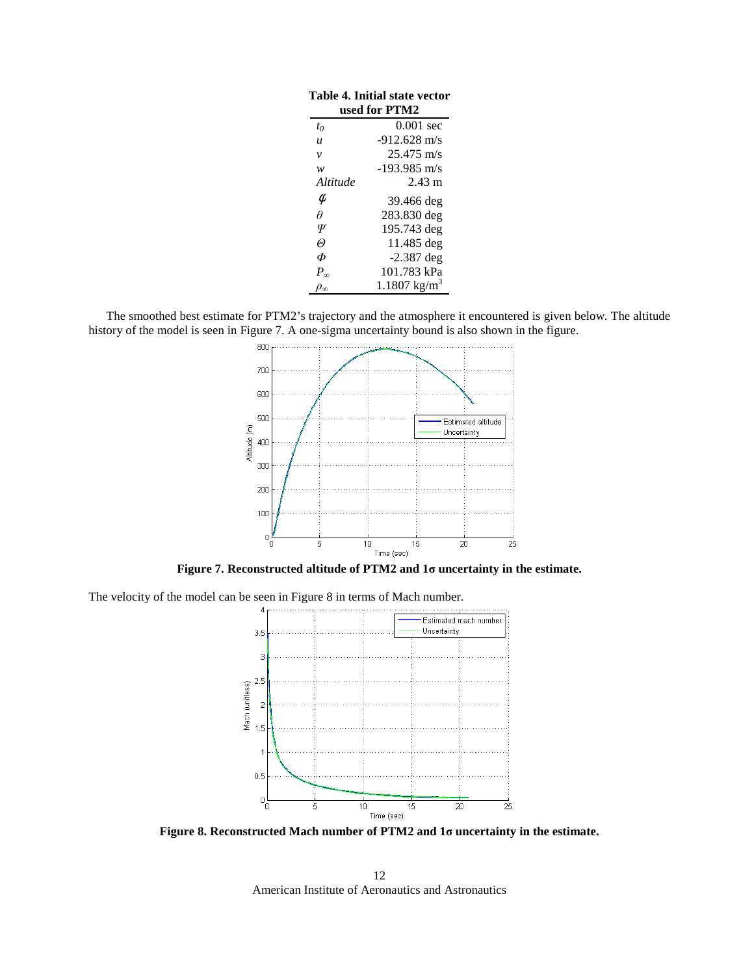| Table 4. Initial state vector |                          |  |  |  |
|-------------------------------|--------------------------|--|--|--|
| used for PTM2                 |                          |  |  |  |
| $t_0$                         | $0.001$ sec              |  |  |  |
| $\boldsymbol{u}$              | $-912.628$ m/s           |  |  |  |
| ν                             | $25.475$ m/s             |  |  |  |
| w                             | $-193.985$ m/s           |  |  |  |
| <i>Altitude</i>               | $2.43 \text{ m}$         |  |  |  |
| Ø                             | 39.466 deg               |  |  |  |
| $\theta$                      | 283.830 deg              |  |  |  |
| Ψ                             | 195.743 deg              |  |  |  |
| Θ                             | 11.485 deg               |  |  |  |
| Φ                             | $-2.387$ deg             |  |  |  |
| $P_{\infty}$                  | 101.783 kPa              |  |  |  |
| $\rho_{\infty}$               | 1.1807 kg/m <sup>3</sup> |  |  |  |

 The smoothed best estimate for PTM2's trajectory and the atmosphere it encountered is given below. The altitude history of the model is seen in Figure 7. A one-sigma uncertainty bound is also shown in the figure.



**Figure 7. Reconstructed altitude of PTM2 and 1**σ **uncertainty in the estimate.** 

The velocity of the model can be seen in Figure 8 in terms of Mach number.



**Figure 8. Reconstructed Mach number of PTM2 and 1**σ **uncertainty in the estimate.** 

American Institute of Aeronautics and Astronautics 12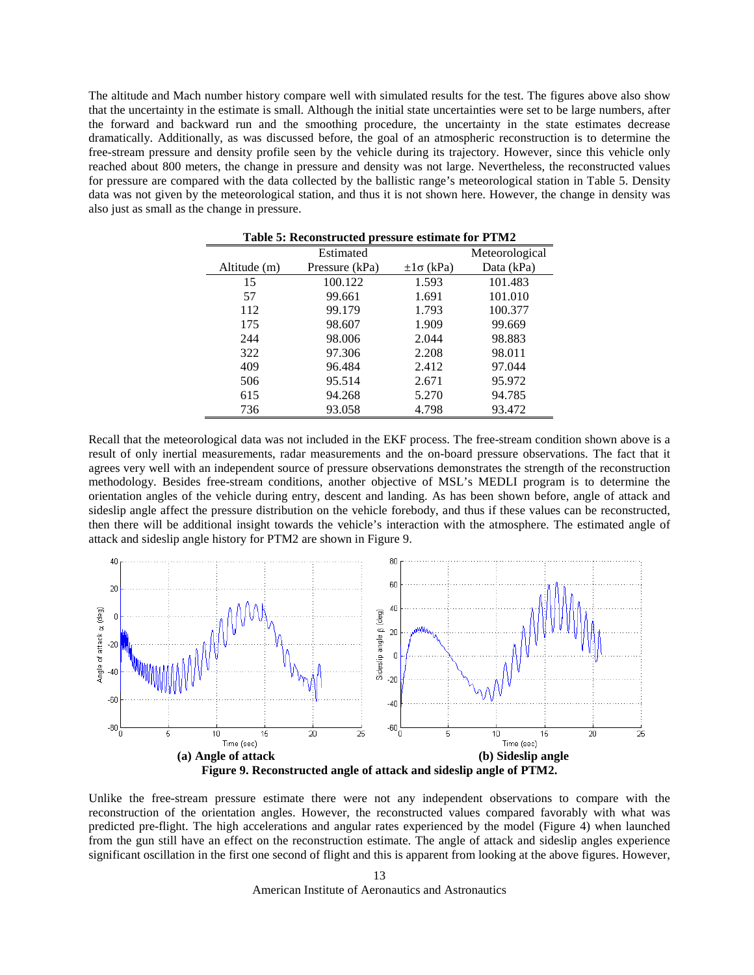The altitude and Mach number history compare well with simulated results for the test. The figures above also show that the uncertainty in the estimate is small. Although the initial state uncertainties were set to be large numbers, after the forward and backward run and the smoothing procedure, the uncertainty in the state estimates decrease dramatically. Additionally, as was discussed before, the goal of an atmospheric reconstruction is to determine the free-stream pressure and density profile seen by the vehicle during its trajectory. However, since this vehicle only reached about 800 meters, the change in pressure and density was not large. Nevertheless, the reconstructed values for pressure are compared with the data collected by the ballistic range's meteorological station in Table 5. Density data was not given by the meteorological station, and thus it is not shown here. However, the change in density was also just as small as the change in pressure.

|              | Estimated      |                     | Meteorological |
|--------------|----------------|---------------------|----------------|
| Altitude (m) | Pressure (kPa) | $\pm 1\sigma$ (kPa) | Data (kPa)     |
| 15           | 100.122        | 1.593               | 101.483        |
| 57           | 99.661         | 1.691               | 101.010        |
| 112          | 99.179         | 1.793               | 100.377        |
| 175          | 98.607         | 1.909               | 99.669         |
| 244          | 98.006         | 2.044               | 98.883         |
| 322          | 97.306         | 2.208               | 98.011         |
| 409          | 96.484         | 2.412               | 97.044         |
| 506          | 95.514         | 2.671               | 95.972         |
| 615          | 94.268         | 5.270               | 94.785         |
| 736          | 93.058         | 4.798               | 93.472         |

**Table 5: Reconstructed pressure estimate for PTM2** 

Recall that the meteorological data was not included in the EKF process. The free-stream condition shown above is a result of only inertial measurements, radar measurements and the on-board pressure observations. The fact that it agrees very well with an independent source of pressure observations demonstrates the strength of the reconstruction methodology. Besides free-stream conditions, another objective of MSL's MEDLI program is to determine the orientation angles of the vehicle during entry, descent and landing. As has been shown before, angle of attack and sideslip angle affect the pressure distribution on the vehicle forebody, and thus if these values can be reconstructed, then there will be additional insight towards the vehicle's interaction with the atmosphere. The estimated angle of attack and sideslip angle history for PTM2 are shown in Figure 9.



Unlike the free-stream pressure estimate there were not any independent observations to compare with the reconstruction of the orientation angles. However, the reconstructed values compared favorably with what was predicted pre-flight. The high accelerations and angular rates experienced by the model (Figure 4) when launched from the gun still have an effect on the reconstruction estimate. The angle of attack and sideslip angles experience significant oscillation in the first one second of flight and this is apparent from looking at the above figures. However,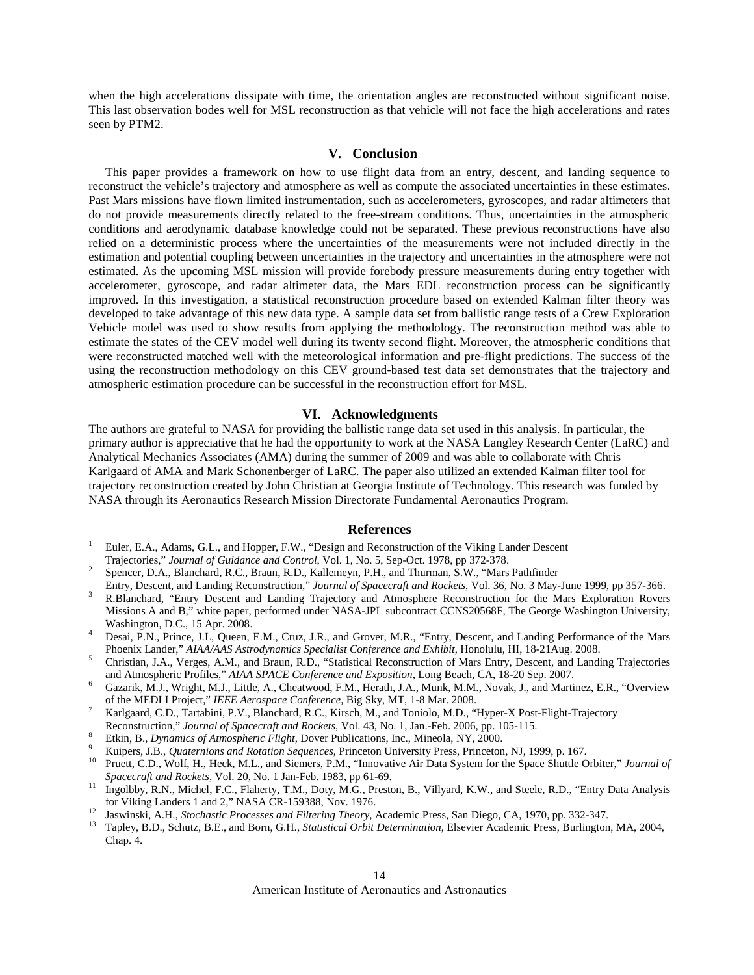when the high accelerations dissipate with time, the orientation angles are reconstructed without significant noise. This last observation bodes well for MSL reconstruction as that vehicle will not face the high accelerations and rates seen by PTM2.

## **V. Conclusion**

 This paper provides a framework on how to use flight data from an entry, descent, and landing sequence to reconstruct the vehicle's trajectory and atmosphere as well as compute the associated uncertainties in these estimates. Past Mars missions have flown limited instrumentation, such as accelerometers, gyroscopes, and radar altimeters that do not provide measurements directly related to the free-stream conditions. Thus, uncertainties in the atmospheric conditions and aerodynamic database knowledge could not be separated. These previous reconstructions have also relied on a deterministic process where the uncertainties of the measurements were not included directly in the estimation and potential coupling between uncertainties in the trajectory and uncertainties in the atmosphere were not estimated. As the upcoming MSL mission will provide forebody pressure measurements during entry together with accelerometer, gyroscope, and radar altimeter data, the Mars EDL reconstruction process can be significantly improved. In this investigation, a statistical reconstruction procedure based on extended Kalman filter theory was developed to take advantage of this new data type. A sample data set from ballistic range tests of a Crew Exploration Vehicle model was used to show results from applying the methodology. The reconstruction method was able to estimate the states of the CEV model well during its twenty second flight. Moreover, the atmospheric conditions that were reconstructed matched well with the meteorological information and pre-flight predictions. The success of the using the reconstruction methodology on this CEV ground-based test data set demonstrates that the trajectory and atmospheric estimation procedure can be successful in the reconstruction effort for MSL.

### **VI. Acknowledgments**

The authors are grateful to NASA for providing the ballistic range data set used in this analysis. In particular, the primary author is appreciative that he had the opportunity to work at the NASA Langley Research Center (LaRC) and Analytical Mechanics Associates (AMA) during the summer of 2009 and was able to collaborate with Chris Karlgaard of AMA and Mark Schonenberger of LaRC. The paper also utilized an extended Kalman filter tool for trajectory reconstruction created by John Christian at Georgia Institute of Technology. This research was funded by NASA through its Aeronautics Research Mission Directorate Fundamental Aeronautics Program.

## **References**

- <sup>1</sup> Euler, E.A., Adams, G.L., and Hopper, F.W., "Design and Reconstruction of the Viking Lander Descent Trajectories," *Journal of Guidance and Control*, Vol. 1, No. 5, Sep-Oct. 1978, pp 372-378.
- 2 Spencer, D.A., Blanchard, R.C., Braun, R.D., Kallemeyn, P.H., and Thurman, S.W., "Mars Pathfinder Entry, Descent, and Landing Reconstruction," *Journal of Spacecraft and Rockets*, Vol. 36, No. 3 May-June 1999, pp 357-366.
- <sup>3</sup> R.Blanchard, "Entry Descent and Landing Trajectory and Atmosphere Reconstruction for the Mars Exploration Rovers Missions A and B," white paper, performed under NASA-JPL subcontract CCNS20568F, The George Washington University, Washington, D.C., 15 Apr. 2008.
- <sup>4</sup> Desai, P.N., Prince, J.L, Queen, E.M., Cruz, J.R., and Grover, M.R., "Entry, Descent, and Landing Performance of the Mars Phoenix Lander," *AIAA/AAS Astrodynamics Specialist Conference and Exhibit*, Honolulu, HI, 18-21Aug. 2008.
- <sup>5</sup> Christian, J.A., Verges, A.M., and Braun, R.D., "Statistical Reconstruction of Mars Entry, Descent, and Landing Trajectories and Atmospheric Profiles," *AIAA SPACE Conference and Exposition*, Long Beach, CA, 18-20 Sep. 2007.
- <sup>6</sup> Gazarik, M.J., Wright, M.J., Little, A., Cheatwood, F.M., Herath, J.A., Munk, M.M., Novak, J., and Martinez, E.R., "Overview of the MEDLI Project," *IEEE Aerospace Conference*, Big Sky, MT, 1-8 Mar. 2008.
- <sup>7</sup> Karlgaard, C.D., Tartabini, P.V., Blanchard, R.C., Kirsch, M., and Toniolo, M.D., "Hyper-X Post-Flight-Trajectory
- Reconstruction," *Journal of Spacecraft and Rockets*, Vol. 43, No. 1, Jan.-Feb. 2006, pp. 105-115.
- <sup>8</sup> Etkin, B., *Dynamics of Atmospheric Flight*, Dover Publications, Inc., Mineola, NY, 2000.
- <sup>9</sup> Kuipers, J.B., *Quaternions and Rotation Sequences*, Princeton University Press, Princeton, NJ, 1999, p. 167.
- <sup>10</sup> Pruett, C.D., Wolf, H., Heck, M.L., and Siemers, P.M., "Innovative Air Data System for the Space Shuttle Orbiter," *Journal of Spacecraft and Rockets,* Vol. 20, No. 1 Jan-Feb. 1983, pp 61-69.
- <sup>11</sup> Ingolbby, R.N., Michel, F.C., Flaherty, T.M., Doty, M.G., Preston, B., Villyard, K.W., and Steele, R.D., "Entry Data Analysis for Viking Landers 1 and 2," NASA CR-159388, Nov. 1976.
- <sup>12</sup> Jaswinski, A.H., *Stochastic Processes and Filtering Theory*, Academic Press, San Diego, CA, 1970, pp. 332-347.
- <sup>13</sup> Tapley, B.D., Schutz, B.E., and Born, G.H., *Statistical Orbit Determination*, Elsevier Academic Press, Burlington, MA, 2004, Chap. 4.